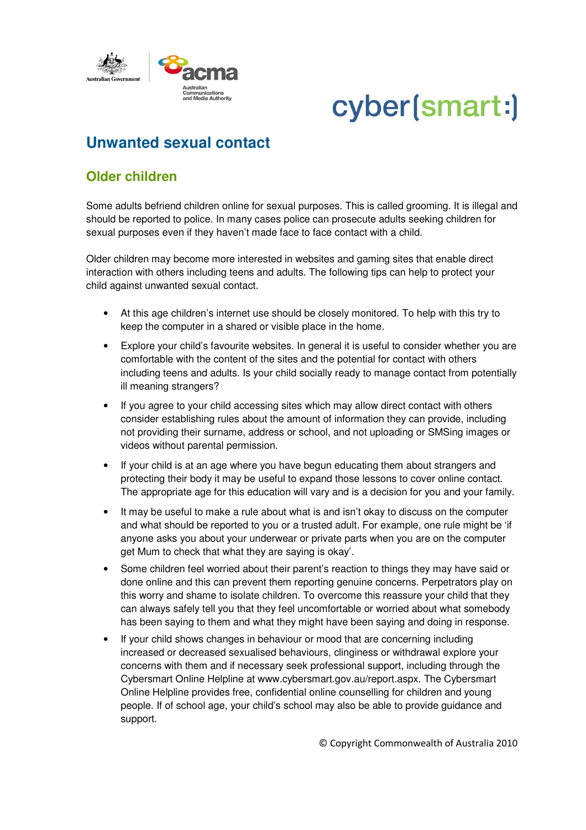

## cyber(smart:)

## **Unwanted sexual contact**

## **Older children**

Some adults befriend children online for sexual purposes. This is called grooming. It is illegal and should be reported to police. In many cases police can prosecute adults seeking children for sexual purposes even if they haven't made face to face contact with a child.

Older children may become more interested in websites and gaming sites that enable direct interaction with others including teens and adults. The following tips can help to protect your child against unwanted sexual contact.

- At this age children's internet use should be closely monitored. To help with this try to keep the computer in a shared or visible place in the home.
- Explore your child's favourite websites. In general it is useful to consider whether you are comfortable with the content of the sites and the potential for contact with others including teens and adults. Is your child socially ready to manage contact from potentially ill meaning strangers?
- If you agree to your child accessing sites which may allow direct contact with others consider establishing rules about the amount of information they can provide, including not providing their surname, address or school, and not uploading or SMSing images or videos without parental permission.
- If your child is at an age where you have begun educating them about strangers and protecting their body it may be useful to expand those lessons to cover online contact. The appropriate age for this education will vary and is a decision for you and your family.
- It may be useful to make a rule about what is and isn't okay to discuss on the computer and what should be reported to you or a trusted adult. For example, one rule might be 'if anyone asks you about your underwear or private parts when you are on the computer get Mum to check that what they are saying is okay'.
- Some children feel worried about their parent's reaction to things they may have said or done online and this can prevent them reporting genuine concerns. Perpetrators play on this worry and shame to isolate children. To overcome this reassure your child that they can always safely tell you that they feel uncomfortable or worried about what somebody has been saying to them and what they might have been saying and doing in response.
- If your child shows changes in behaviour or mood that are concerning including increased or decreased sexualised behaviours, clinginess or withdrawal explore your concerns with them and if necessary seek professional support, including through the Cybersmart Online Helpline at www.cybersmart.gov.au/report.aspx. The Cybersmart Online Helpline provides free, confidential online counselling for children and young people. If of school age, your child's school may also be able to provide guidance and support.

© Copyright Commonwealth of Australia 2010